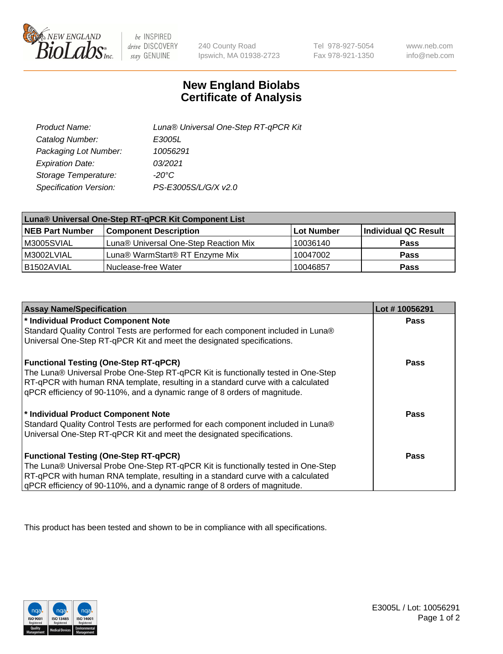

 $be$  INSPIRED drive DISCOVERY stay GENUINE

240 County Road Ipswich, MA 01938-2723

Tel 978-927-5054 Fax 978-921-1350

www.neb.com info@neb.com

## **New England Biolabs Certificate of Analysis**

| Product Name:           | Luna® Universal One-Step RT-qPCR Kit |
|-------------------------|--------------------------------------|
| Catalog Number:         | E3005L                               |
| Packaging Lot Number:   | 10056291                             |
| <b>Expiration Date:</b> | 03/2021                              |
| Storage Temperature:    | $-20^{\circ}$ C                      |
| Specification Version:  | PS-E3005S/L/G/X v2.0                 |

| Luna® Universal One-Step RT-qPCR Kit Component List |                                       |            |                      |  |
|-----------------------------------------------------|---------------------------------------|------------|----------------------|--|
| <b>NEB Part Number</b>                              | <b>Component Description</b>          | Lot Number | Individual QC Result |  |
| M3005SVIAL                                          | Luna® Universal One-Step Reaction Mix | 10036140   | <b>Pass</b>          |  |
| M3002LVIAL                                          | Luna® WarmStart® RT Enzyme Mix        | 10047002   | <b>Pass</b>          |  |
| B1502AVIAL                                          | Nuclease-free Water                   | 10046857   | <b>Pass</b>          |  |

| <b>Assay Name/Specification</b>                                                   | Lot #10056291 |
|-----------------------------------------------------------------------------------|---------------|
| * Individual Product Component Note                                               | <b>Pass</b>   |
| Standard Quality Control Tests are performed for each component included in Luna® |               |
| Universal One-Step RT-qPCR Kit and meet the designated specifications.            |               |
| <b>Functional Testing (One-Step RT-qPCR)</b>                                      | Pass          |
| The Luna® Universal Probe One-Step RT-qPCR Kit is functionally tested in One-Step |               |
| RT-qPCR with human RNA template, resulting in a standard curve with a calculated  |               |
| gPCR efficiency of 90-110%, and a dynamic range of 8 orders of magnitude.         |               |
| * Individual Product Component Note                                               | Pass          |
| Standard Quality Control Tests are performed for each component included in Luna® |               |
| Universal One-Step RT-qPCR Kit and meet the designated specifications.            |               |
| <b>Functional Testing (One-Step RT-qPCR)</b>                                      | <b>Pass</b>   |
| The Luna® Universal Probe One-Step RT-qPCR Kit is functionally tested in One-Step |               |
| RT-qPCR with human RNA template, resulting in a standard curve with a calculated  |               |
| gPCR efficiency of 90-110%, and a dynamic range of 8 orders of magnitude.         |               |

This product has been tested and shown to be in compliance with all specifications.